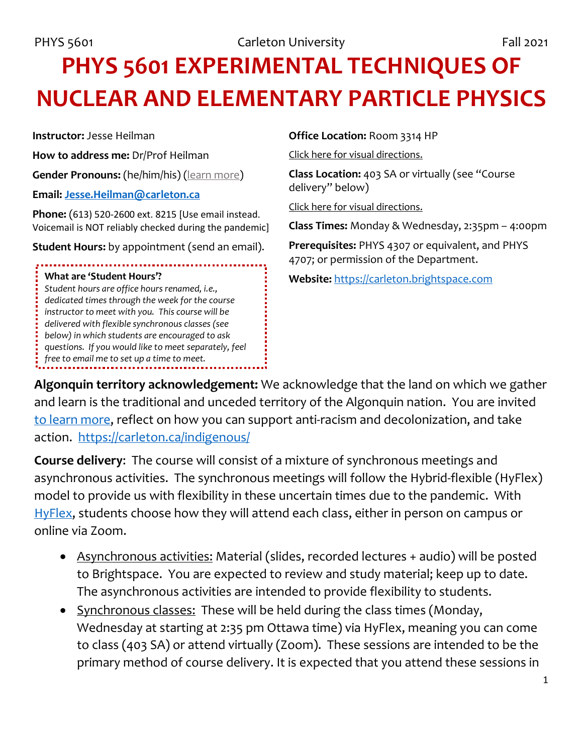# **PHYS 5601 EXPERIMENTAL TECHNIQUES OF NUCLEAR AND ELEMENTARY PARTICLE PHYSICS**

**Instructor:** Jesse Heilman

**How to address me:** Dr/Prof Heilman

**Gender Pronouns:** (he/him/his) [\(learn more\)](https://www.vanderbilt.edu/facultysenate/engage/PRONOUNPOSTER.pdf)

**Email: [Jesse.Heilman@carleton.ca](mailto:Jesse.Heilman@carleton.ca)**

**Phone:** (613) 520-2600 ext. 8215 [Use email instead. Voicemail is NOT reliably checked during the pandemic]

**Student Hours:** by appointment (send an email).

#### **What are 'Student Hours'?**

*Student hours are office hours renamed, i.e., dedicated times through the week for the course instructor to meet with you. This course will be delivered with flexible synchronous classes (see below) in which students are encouraged to ask questions. If you would like to meet separately, feel free to email me to set up a time to meet.*

#### **Office Location:** Room 3314 HP

[Click here for visual directions.](https://www.classfind.com/carleton/)

**Class Location:** 403 SA or virtually (see "Course delivery" below)

[Click here for visual](https://www.classfind.com/carleton/) directions.

**Class Times:** Monday & Wednesday, 2:35pm – 4:00pm

**Prerequisites:** PHYS 4307 or equivalent, and PHYS 4707; or permission of the Department.

**Website:** [https://carleton.brightspace.com](https://carleton.brightspace.com/)

**Algonquin territory acknowledgement:** We acknowledge that the land on which we gather and learn is the traditional and unceded territory of the Algonquin nation. You are invited [to learn more,](https://carleton.ca/indigenous/policies-procedures/algonquin-territory-acknowledgment/) reflect on how you can support anti-racism and decolonization, and take action. <https://carleton.ca/indigenous/>

**Course delivery**: The course will consist of a mixture of synchronous meetings and asynchronous activities. The synchronous meetings will follow the Hybrid-flexible (HyFlex) model to provide us with flexibility in these uncertain times due to the pandemic. With [HyFlex,](https://carleton.ca/tls/2021/hyflex-a-new-teaching-option-for-the-fall/) students choose how they will attend each class, either in person on campus or online via Zoom.

- Asynchronous activities: Material (slides, recorded lectures + audio) will be posted to Brightspace. You are expected to review and study material; keep up to date. The asynchronous activities are intended to provide flexibility to students.
- Synchronous classes: These will be held during the class times (Monday, Wednesday at starting at 2:35 pm Ottawa time) via HyFlex, meaning you can come to class (403 SA) or attend virtually (Zoom). These sessions are intended to be the primary method of course delivery. It is expected that you attend these sessions in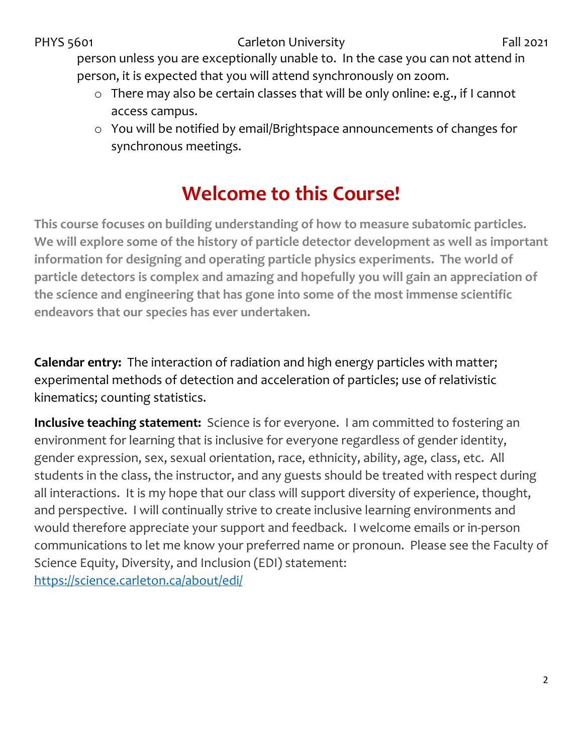person unless you are exceptionally unable to. In the case you can not attend in person, it is expected that you will attend synchronously on zoom.

- o There may also be certain classes that will be only online: e.g., if I cannot access campus.
- o You will be notified by email/Brightspace announcements of changes for synchronous meetings.

## **Welcome to this Course!**

**This course focuses on building understanding of how to measure subatomic particles. We will explore some of the history of particle detector development as well as important information for designing and operating particle physics experiments. The world of particle detectors is complex and amazing and hopefully you will gain an appreciation of the science and engineering that has gone into some of the most immense scientific endeavors that our species has ever undertaken.**

**Calendar entry:** The interaction of radiation and high energy particles with matter; experimental methods of detection and acceleration of particles; use of relativistic kinematics; counting statistics.

**Inclusive teaching statement:** Science is for everyone. I am committed to fostering an environment for learning that is inclusive for everyone regardless of gender identity, gender expression, sex, sexual orientation, race, ethnicity, ability, age, class, etc. All students in the class, the instructor, and any guests should be treated with respect during all interactions. It is my hope that our class will support diversity of experience, thought, and perspective. I will continually strive to create inclusive learning environments and would therefore appreciate your support and feedback. I welcome emails or in-person communications to let me know your preferred name or pronoun. Please see the Faculty of Science Equity, Diversity, and Inclusion (EDI) statement: <https://science.carleton.ca/about/edi/>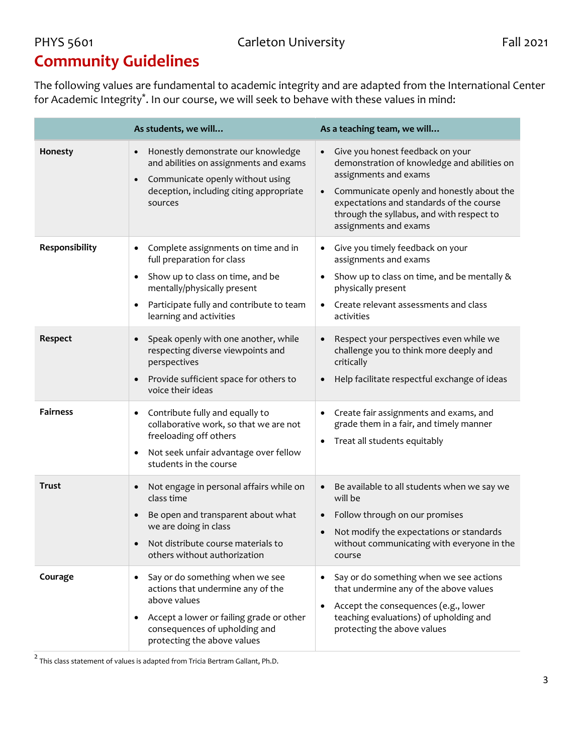## **Community Guidelines**

The following values are fundamental to academic integrity and are adapted from the International Center for Academic Integrity\*. In our course, we will seek to behave with these values in mind:

|                 | As students, we will                                                                                                                                                                                                     | As a teaching team, we will                                                                                                                                                                                                                                                                       |
|-----------------|--------------------------------------------------------------------------------------------------------------------------------------------------------------------------------------------------------------------------|---------------------------------------------------------------------------------------------------------------------------------------------------------------------------------------------------------------------------------------------------------------------------------------------------|
| Honesty         | Honestly demonstrate our knowledge<br>and abilities on assignments and exams<br>Communicate openly without using<br>$\bullet$<br>deception, including citing appropriate<br>sources                                      | Give you honest feedback on your<br>$\bullet$<br>demonstration of knowledge and abilities on<br>assignments and exams<br>Communicate openly and honestly about the<br>$\bullet$<br>expectations and standards of the course<br>through the syllabus, and with respect to<br>assignments and exams |
| Responsibility  | Complete assignments on time and in<br>full preparation for class<br>Show up to class on time, and be<br>$\bullet$<br>mentally/physically present<br>Participate fully and contribute to team<br>learning and activities | Give you timely feedback on your<br>٠<br>assignments and exams<br>Show up to class on time, and be mentally &<br>$\bullet$<br>physically present<br>Create relevant assessments and class<br>$\bullet$<br>activities                                                                              |
| Respect         | Speak openly with one another, while<br>respecting diverse viewpoints and<br>perspectives<br>Provide sufficient space for others to<br>$\bullet$<br>voice their ideas                                                    | Respect your perspectives even while we<br>$\bullet$<br>challenge you to think more deeply and<br>critically<br>Help facilitate respectful exchange of ideas<br>$\bullet$                                                                                                                         |
| <b>Fairness</b> | Contribute fully and equally to<br>$\bullet$<br>collaborative work, so that we are not<br>freeloading off others<br>Not seek unfair advantage over fellow<br>$\bullet$<br>students in the course                         | Create fair assignments and exams, and<br>$\bullet$<br>grade them in a fair, and timely manner<br>Treat all students equitably<br>$\bullet$                                                                                                                                                       |
| <b>Trust</b>    | Not engage in personal affairs while on<br>$\bullet$<br>class time<br>Be open and transparent about what<br>$\bullet$<br>we are doing in class<br>Not distribute course materials to<br>others without authorization     | Be available to all students when we say we<br>$\bullet$<br>will be<br>Follow through on our promises<br>$\bullet$<br>Not modify the expectations or standards<br>$\bullet$<br>without communicating with everyone in the<br>course                                                               |
| Courage         | Say or do something when we see<br>actions that undermine any of the<br>above values<br>Accept a lower or failing grade or other<br>consequences of upholding and<br>protecting the above values                         | Say or do something when we see actions<br>٠<br>that undermine any of the above values<br>Accept the consequences (e.g., lower<br>$\bullet$<br>teaching evaluations) of upholding and<br>protecting the above values                                                                              |

 $\frac{2}{3}$  This class statement of values is adapted from Tricia Bertram Gallant, Ph.D.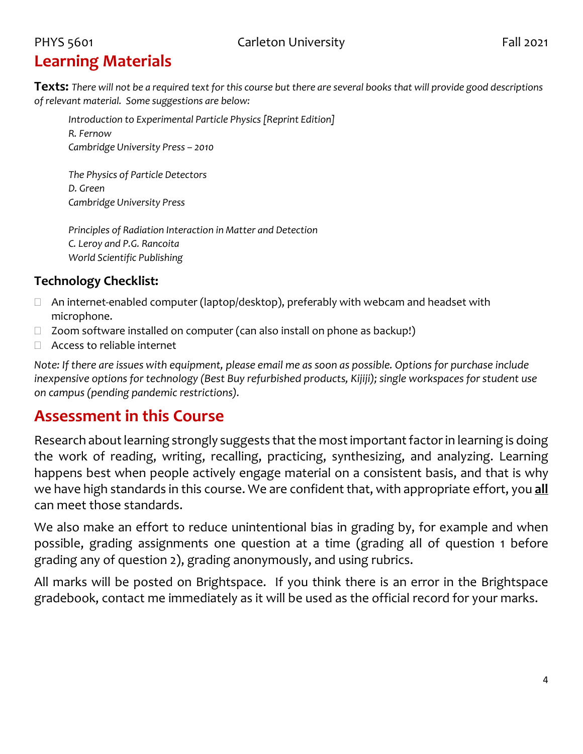## **Learning Materials**

**Texts:** *There will not be a required text for this course but there are several books that will provide good descriptions of relevant material. Some suggestions are below:*

*Introduction to Experimental Particle Physics [Reprint Edition] R. Fernow Cambridge University Press – 2010*

*The Physics of Particle Detectors D. Green Cambridge University Press*

*Principles of Radiation Interaction in Matter and Detection C. Leroy and P.G. Rancoita World Scientific Publishing*

#### **Technology Checklist:**

- $\Box$  An internet-enabled computer (laptop/desktop), preferably with webcam and headset with microphone.
- $\Box$  Zoom software installed on computer (can also install on phone as backup!)
- □ Access to reliable internet

*Note: If there are issues with equipment, please email me as soon as possible. Options for purchase include inexpensive options for technology (Best Buy refurbished products, Kijiji); single workspaces for student use on campus (pending pandemic restrictions).* 

### **Assessment in this Course**

Research about learning strongly suggests that the most important factor in learning is doing the work of reading, writing, recalling, practicing, synthesizing, and analyzing. Learning happens best when people actively engage material on a consistent basis, and that is why we have high standards in this course. We are confident that, with appropriate effort, you **all** can meet those standards.

We also make an effort to reduce unintentional bias in grading by, for example and when possible, grading assignments one question at a time (grading all of question 1 before grading any of question 2), grading anonymously, and using rubrics.

All marks will be posted on Brightspace. If you think there is an error in the Brightspace gradebook, contact me immediately as it will be used as the official record for your marks.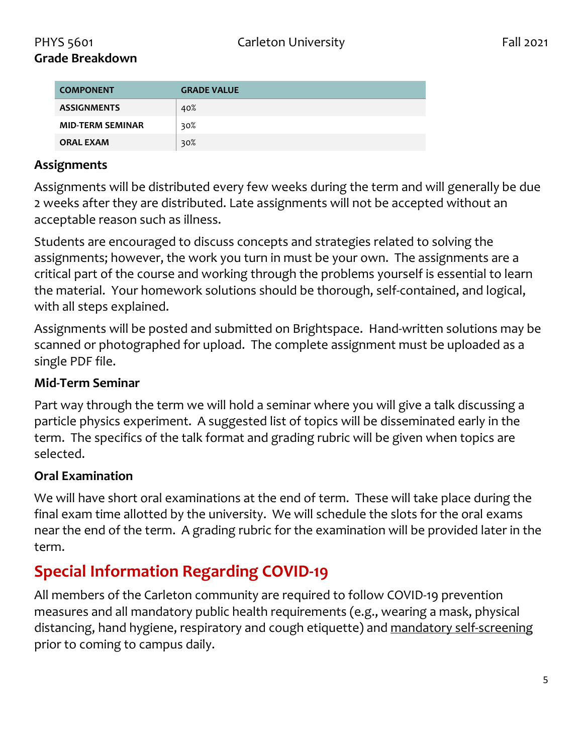| <b>COMPONENT</b>        | <b>GRADE VALUE</b> |
|-------------------------|--------------------|
| <b>ASSIGNMENTS</b>      | 40%                |
| <b>MID-TERM SEMINAR</b> | 30%                |
| <b>ORAL EXAM</b>        | 30%                |

#### **Assignments**

Assignments will be distributed every few weeks during the term and will generally be due 2 weeks after they are distributed. Late assignments will not be accepted without an acceptable reason such as illness.

Students are encouraged to discuss concepts and strategies related to solving the assignments; however, the work you turn in must be your own. The assignments are a critical part of the course and working through the problems yourself is essential to learn the material. Your homework solutions should be thorough, self-contained, and logical, with all steps explained.

Assignments will be posted and submitted on Brightspace. Hand-written solutions may be scanned or photographed for upload. The complete assignment must be uploaded as a single PDF file.

#### **Mid-Term Seminar**

Part way through the term we will hold a seminar where you will give a talk discussing a particle physics experiment. A suggested list of topics will be disseminated early in the term. The specifics of the talk format and grading rubric will be given when topics are selected.

#### **Oral Examination**

We will have short oral examinations at the end of term. These will take place during the final exam time allotted by the university. We will schedule the slots for the oral exams near the end of the term. A grading rubric for the examination will be provided later in the term.

### **Special Information Regarding COVID-19**

All members of the Carleton community are required to follow COVID-19 prevention measures and all mandatory public health requirements (e.g., wearing a mask, physical distancing, hand hygiene, respiratory and cough etiquette) and [mandatory self-screening](https://carleton.ca/covid19/screening/) prior to coming to campus daily.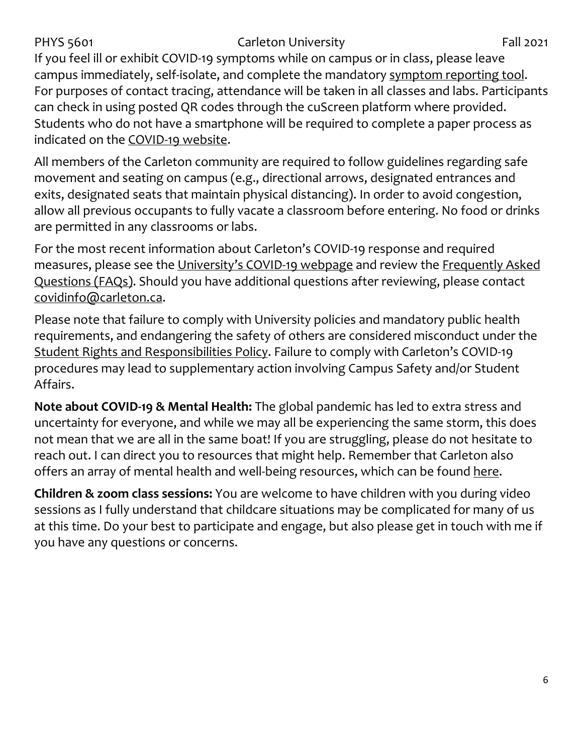If you feel ill or exhibit COVID-19 symptoms while on campus or in class, please leave campus immediately, self-isolate, and complete the mandatory [symptom reporting tool.](https://carleton.ca/covid19/covid-19-symptom-reporting/) For purposes of contact tracing, attendance will be taken in all classes and labs. Participants can check in using posted QR codes through the cuScreen platform where provided. Students who do not have a smartphone will be required to complete a paper process as indicated on the [COVID-19 website.](http://carleton.ca/covid19)

All members of the Carleton community are required to follow guidelines regarding safe movement and seating on campus (e.g., directional arrows, designated entrances and exits, designated seats that maintain physical distancing). In order to avoid congestion, allow all previous occupants to fully vacate a classroom before entering. No food or drinks are permitted in any classrooms or labs.

For the most recent information about Carleton's COVID-19 response and required measures, please see the [University's COVID-19 webpage](https://carleton.ca/covid19/) and review the [Frequently Asked](https://carleton.ca/covid19/faq/)  [Questions \(FAQs\).](https://carleton.ca/covid19/faq/) Should you have additional questions after reviewing, please contact [covidinfo@carleton.ca.](mailto:covidinfo@carleton.ca)

Please note that failure to comply with University policies and mandatory public health requirements, and endangering the safety of others are considered misconduct under the [Student Rights and Responsibilities Policy.](https://carleton.ca/studentaffairs/student-rights-and-responsibilities/) Failure to comply with Carleton's COVID-19 procedures may lead to supplementary action involving Campus Safety and/or Student Affairs.

**Note about COVID-19 & Mental Health:** The global pandemic has led to extra stress and uncertainty for everyone, and while we may all be experiencing the same storm, this does not mean that we are all in the same boat! If you are struggling, please do not hesitate to reach out. I can direct you to resources that might help. Remember that Carleton also offers an array of mental health and well-being resources, which can be found [here.](https://carleton.ca/wellness/)

**Children & zoom class sessions:** You are welcome to have children with you during video sessions as I fully understand that childcare situations may be complicated for many of us at this time. Do your best to participate and engage, but also please get in touch with me if you have any questions or concerns.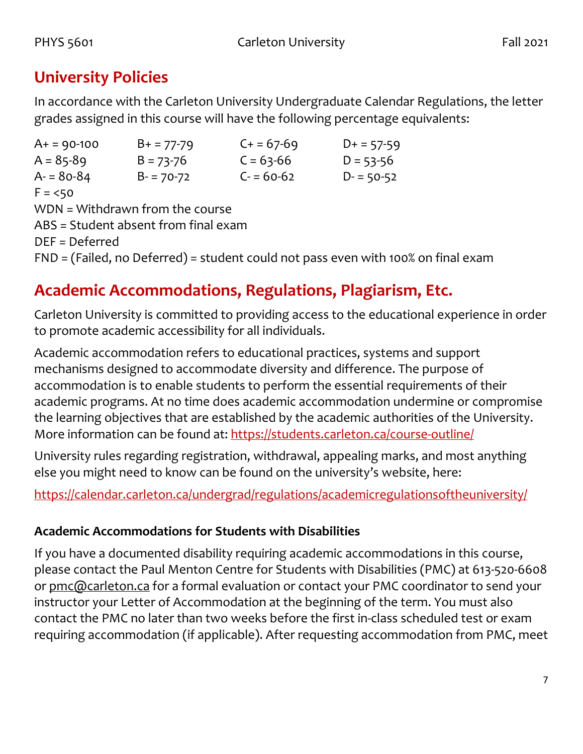## **University Policies**

In accordance with the Carleton University Undergraduate Calendar Regulations, the letter grades assigned in this course will have the following percentage equivalents:

| $A+ = 90-100$                        | $B+ = 77-79$  | $C + 57-69$ | $D+ = 57-59$                                                                        |  |  |
|--------------------------------------|---------------|-------------|-------------------------------------------------------------------------------------|--|--|
| $A = 85-89$                          | $B = 73 - 76$ | $C = 63-66$ | $D = 53 - 56$                                                                       |  |  |
| $A = 80-84$                          | $B - 70-72$   | $C = 60-62$ | $D - 50-52$                                                                         |  |  |
| $F = 50$                             |               |             |                                                                                     |  |  |
| WDN = Withdrawn from the course      |               |             |                                                                                     |  |  |
| ABS = Student absent from final exam |               |             |                                                                                     |  |  |
| $DEF = Deferred$                     |               |             |                                                                                     |  |  |
|                                      |               |             | $FND = (Failed, no Deferred) = student could not pass even with 100% on final exam$ |  |  |

## **Academic Accommodations, Regulations, Plagiarism, Etc.**

Carleton University is committed to providing access to the educational experience in order to promote academic accessibility for all individuals.

Academic accommodation refers to educational practices, systems and support mechanisms designed to accommodate diversity and difference. The purpose of accommodation is to enable students to perform the essential requirements of their academic programs. At no time does academic accommodation undermine or compromise the learning objectives that are established by the academic authorities of the University. More information can be found at:<https://students.carleton.ca/course-outline/>

University rules regarding registration, withdrawal, appealing marks, and most anything else you might need to know can be found on the university's website, here:

<https://calendar.carleton.ca/undergrad/regulations/academicregulationsoftheuniversity/>

#### **Academic Accommodations for Students with Disabilities**

If you have a documented disability requiring academic accommodations in this course, please contact the Paul Menton Centre for Students with Disabilities (PMC) at 613-520-6608 or [pmc@carleton.ca](mailto:pmc@carleton.ca) for a formal evaluation or contact your PMC coordinator to send your instructor your Letter of Accommodation at the beginning of the term. You must also contact the PMC no later than two weeks before the first in-class scheduled test or exam requiring accommodation (if applicable). After requesting accommodation from PMC, meet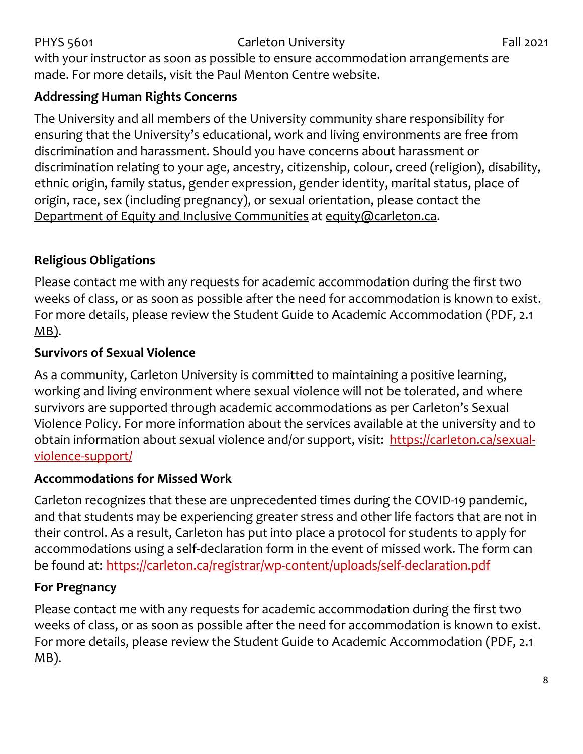#### PHYS 5601 Carleton University Fall 2021 with your instructor as soon as possible to ensure accommodation arrangements are made. For more details, visit the [Paul Menton Centre website.](http://carleton.ca/pmc)

#### **Addressing Human Rights Concerns**

The University and all members of the University community share responsibility for ensuring that the University's educational, work and living environments are free from discrimination and harassment. Should you have concerns about harassment or discrimination relating to your age, ancestry, citizenship, colour, creed (religion), disability, ethnic origin, family status, gender expression, gender identity, marital status, place of origin, race, sex (including pregnancy), or sexual orientation, please contact the [Department of Equity and Inclusive Communities](https://carleton.ca/equity/) at [equity@carleton.ca.](mailto:equity@carleton.ca)

#### **Religious Obligations**

Please contact me with any requests for academic accommodation during the first two weeks of class, or as soon as possible after the need for accommodation is known to exist. For more details, please review the [Student Guide to Academic Accommodation \(PDF, 2.1](https://carleton.ca/equity/wp-content/uploads/Student-Guide-to-Academic-Accommodation.pdf)   $MB$ ).

#### **Survivors of Sexual Violence**

As a community, Carleton University is committed to maintaining a positive learning, working and living environment where sexual violence will not be tolerated, and where survivors are supported through academic accommodations as per Carleton's Sexual Violence Policy. For more information about the services available at the university and to obtain information about sexual violence and/or support, visit: [https://carleton.ca/sexual](https://carleton.ca/sexual-violence-support/)[violence-support/](https://carleton.ca/sexual-violence-support/)

#### **Accommodations for Missed Work**

Carleton recognizes that these are unprecedented times during the COVID-19 pandemic, and that students may be experiencing greater stress and other life factors that are not in their control. As a result, Carleton has put into place a protocol for students to apply for accommodations using a self-declaration form in the event of missed work. The form can be found at: <https://carleton.ca/registrar/wp-content/uploads/self-declaration.pdf>

#### **For Pregnancy**

Please contact me with any requests for academic accommodation during the first two weeks of class, or as soon as possible after the need for accommodation is known to exist. For more details, please review the [Student Guide to Academic Accommodation](https://carleton.ca/equity/wp-content/uploads/Student-Guide-to-Academic-Accommodation.pdf) (PDF, 2.1 [MB\).](https://carleton.ca/equity/wp-content/uploads/Student-Guide-to-Academic-Accommodation.pdf)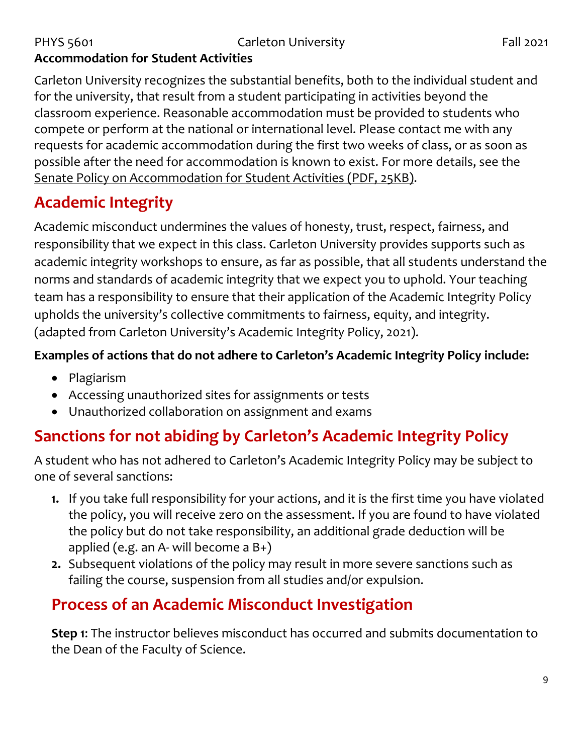#### PHYS 5601 Carleton University Fall 2021 **Accommodation for Student Activities**

Carleton University recognizes the substantial benefits, both to the individual student and for the university, that result from a student participating in activities beyond the classroom experience. Reasonable accommodation must be provided to students who compete or perform at the national or international level. Please contact me with any requests for academic accommodation during the first two weeks of class, or as soon as possible after the need for accommodation is known to exist. For more details, see the [Senate Policy on Accommodation for Student Activities \(PDF, 25KB\).](https://carleton.ca/senate/wp-content/uploads/Accommodation-for-Student-Activities-1.pdf)

## **Academic Integrity**

Academic misconduct undermines the values of honesty, trust, respect, fairness, and responsibility that we expect in this class. Carleton University provides supports such as academic integrity workshops to ensure, as far as possible, that all students understand the norms and standards of academic integrity that we expect you to uphold. Your teaching team has a responsibility to ensure that their application of the Academic Integrity Policy upholds the university's collective commitments to fairness, equity, and integrity. (adapted from Carleton University's Academic Integrity Policy, 2021).

#### **Examples of actions that do not adhere to Carleton's Academic Integrity Policy include:**

- Plagiarism
- Accessing unauthorized sites for assignments or tests
- Unauthorized collaboration on assignment and exams

## **Sanctions for not abiding by Carleton's Academic Integrity Policy**

A student who has not adhered to Carleton's Academic Integrity Policy may be subject to one of several sanctions:

- **1.** If you take full responsibility for your actions, and it is the first time you have violated the policy, you will receive zero on the assessment. If you are found to have violated the policy but do not take responsibility, an additional grade deduction will be applied (e.g. an A- will become a B+)
- **2.** Subsequent violations of the policy may result in more severe sanctions such as failing the course, suspension from all studies and/or expulsion.

## **Process of an Academic Misconduct Investigation**

**Step 1**: The instructor believes misconduct has occurred and submits documentation to the Dean of the Faculty of Science.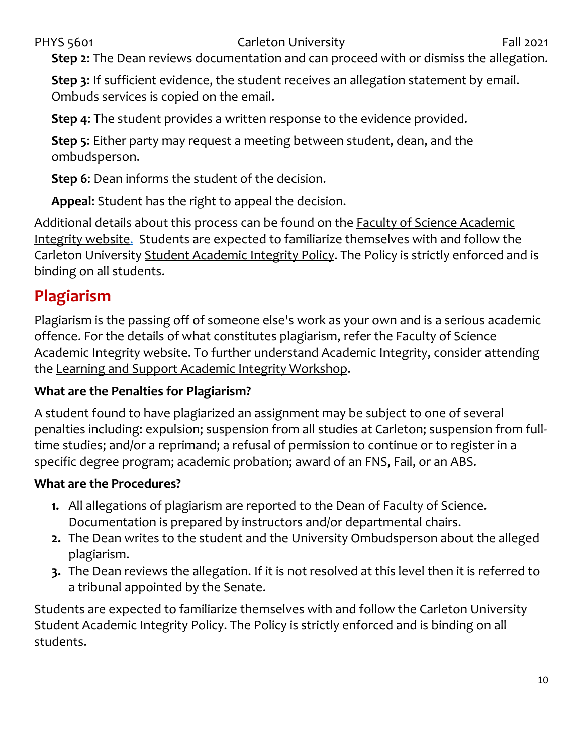**Step 2**: The Dean reviews documentation and can proceed with or dismiss the allegation.

**Step 3**: If sufficient evidence, the student receives an allegation statement by email. Ombuds services is copied on the email.

**Step 4**: The student provides a written response to the evidence provided.

**Step 5**: Either party may request a meeting between student, dean, and the ombudsperson.

**Step 6**: Dean informs the student of the decision.

**Appeal**: Student has the right to appeal the decision.

Additional details about this process can be found on [the Faculty of Science Academic](https://science.carleton.ca/academic-integrity/)  [Integrity website.](https://science.carleton.ca/academic-integrity/) Students are expected to familiarize themselves with and follow the Carleton University [Student Academic Integrity Policy.](https://carleton.ca/registrar/academic-integrity/) The Policy is strictly enforced and is binding on all students.

## **Plagiarism**

Plagiarism is the passing off of someone else's work as your own and is a serious academic offence. For the details of what constitutes plagiarism, refer the **Faculty of Science** [Academic Integrity website.](https://science.carleton.ca/academic-integrity/) To further understand Academic Integrity, consider attending the [Learning and Support Academic Integrity Workshop.](https://carleton.ca/csas/learning-%20support-2/learning-support-workshops/)

#### **What are the Penalties for Plagiarism?**

A student found to have plagiarized an assignment may be subject to one of several penalties including: expulsion; suspension from all studies at Carleton; suspension from fulltime studies; and/or a reprimand; a refusal of permission to continue or to register in a specific degree program; academic probation; award of an FNS, Fail, or an ABS.

#### **What are the Procedures?**

- **1.** All allegations of plagiarism are reported to the Dean of Faculty of Science. Documentation is prepared by instructors and/or departmental chairs.
- **2.** The Dean writes to the student and the University Ombudsperson about the alleged plagiarism.
- **3.** The Dean reviews the allegation. If it is not resolved at this level then it is referred to a tribunal appointed by the Senate.

Students are expected to familiarize themselves with and follow the Carleton University [Student Academic Integrity Policy.](https://carleton.ca/registrar/academic-integrity/) The Policy is strictly enforced and is binding on all students.